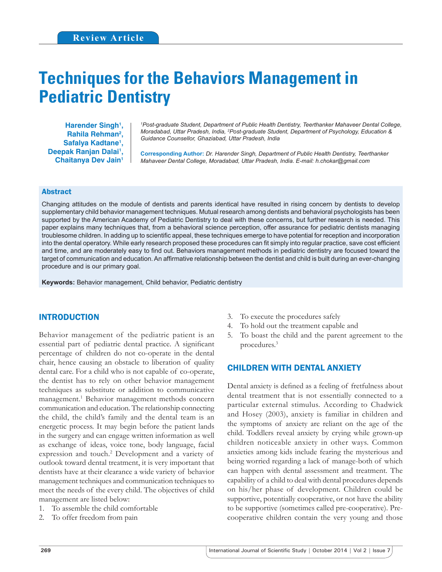# **Techniques for the Behaviors Management in Pediatric Dentistry**

Harender Singh<sup>1</sup>, **Rahila Rehman2 , Safalya Kadtane1 ,**  Deepak Ranjan Dalai<sup>1</sup>, **Chaitanya Dev Jain1**

*1 Post-graduate Student, Department of Public Health Dentistry, Teerthanker Mahaveer Dental College, Moradabad, Uttar Pradesh, India, 2 Post-graduate Student, Department of Psychology, Education & Guidance Counsellor, Ghaziabad, Uttar Pradesh, India*

**Corresponding Author:** *Dr. Harender Singh, Department of Public Health Dentistry, Teerthanker Mahaveer Dental College, Moradabad, Uttar Pradesh, India. E-mail: h.chokar@gmail.com*

## Abstract

Changing attitudes on the module of dentists and parents identical have resulted in rising concern by dentists to develop supplementary child behavior management techniques. Mutual research among dentists and behavioral psychologists has been supported by the American Academy of Pediatric Dentistry to deal with these concerns, but further research is needed. This paper explains many techniques that, from a behavioral science perception, offer assurance for pediatric dentists managing troublesome children. In adding up to scientific appeal, these techniques emerge to have potential for reception and incorporation into the dental operatory. While early research proposed these procedures can fit simply into regular practice, save cost efficient and time, and are moderately easy to find out. Behaviors management methods in pediatric dentistry are focused toward the target of communication and education. An affirmative relationship between the dentist and child is built during an ever-changing procedure and is our primary goal.

**Keywords:** Behavior management, Child behavior, Pediatric dentistry

# INTRODUCTION

Behavior management of the pediatric patient is an essential part of pediatric dental practice. A significant percentage of children do not co-operate in the dental chair, hence causing an obstacle to liberation of quality dental care. For a child who is not capable of co-operate, the dentist has to rely on other behavior management techniques as substitute or addition to communicative management.1 Behavior management methods concern communication and education. The relationship connecting the child, the child's family and the dental team is an energetic process. It may begin before the patient lands in the surgery and can engage written information as well as exchange of ideas, voice tone, body language, facial expression and touch.<sup>2</sup> Development and a variety of outlook toward dental treatment, it is very important that dentists have at their clearance a wide variety of behavior management techniques and communication techniques to meet the needs of the every child. The objectives of child management are listed below:

- 1. To assemble the child comfortable
- 2. To offer freedom from pain
- 3. To execute the procedures safely
- 4. To hold out the treatment capable and
- 5. To boast the child and the parent agreement to the procedures.3

# CHILDREN WITH DENTAL ANXIETY

Dental anxiety is defined as a feeling of fretfulness about dental treatment that is not essentially connected to a particular external stimulus. According to Chadwick and Hosey (2003), anxiety is familiar in children and the symptoms of anxiety are reliant on the age of the child. Toddlers reveal anxiety by crying while grown-up children noticeable anxiety in other ways. Common anxieties among kids include fearing the mysterious and being worried regarding a lack of manage-both of which can happen with dental assessment and treatment. The capability of a child to deal with dental procedures depends on his/her phase of development. Children could be supportive, potentially cooperative, or not have the ability to be supportive (sometimes called pre-cooperative). Precooperative children contain the very young and those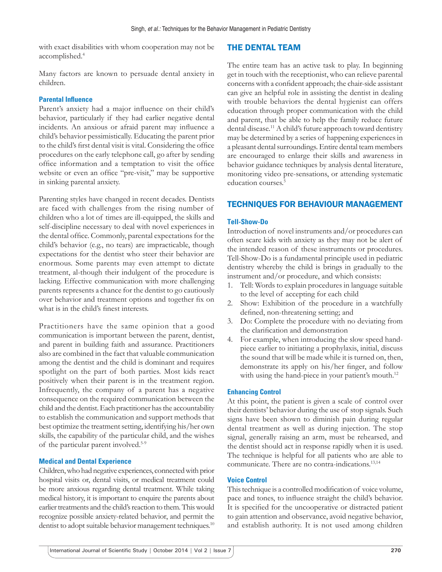with exact disabilities with whom cooperation may not be accomplished.4

## Many factors are known to persuade dental anxiety in children.

## **Parental Influence**

Parent's anxiety had a major influence on their child's behavior, particularly if they had earlier negative dental incidents. An anxious or afraid parent may influence a child's behavior pessimistically. Educating the parent prior to the child's first dental visit is vital. Considering the office procedures on the early telephone call, go after by sending office information and a temptation to visit the office website or even an office "pre-visit," may be supportive in sinking parental anxiety.

Parenting styles have changed in recent decades. Dentists are faced with challenges from the rising number of children who a lot of times are ill-equipped, the skills and self-discipline necessary to deal with novel experiences in the dental office. Commonly, parental expectations for the child's behavior (e.g., no tears) are impracticable, though expectations for the dentist who steer their behavior are enormous. Some parents may even attempt to dictate treatment, al-though their indulgent of the procedure is lacking. Effective communication with more challenging parents represents a chance for the dentist to go cautiously over behavior and treatment options and together fix on what is in the child's finest interests.

Practitioners have the same opinion that a good communication is important between the parent, dentist, and parent in building faith and assurance. Practitioners also are combined in the fact that valuable communication among the dentist and the child is dominant and requires spotlight on the part of both parties. Most kids react positively when their parent is in the treatment region. Infrequently, the company of a parent has a negative consequence on the required communication between the child and the dentist. Each practitioner has the accountability to establish the communication and support methods that best optimize the treatment setting, identifying his/her own skills, the capability of the particular child, and the wishes of the particular parent involved.5-9

#### **Medical and Dental Experience**

Children, who had negative experiences, connected with prior hospital visits or, dental visits, or medical treatment could be more anxious regarding dental treatment. While taking medical history, it is important to enquire the parents about earlier treatments and the child's reaction to them. This would recognize possible anxiety-related behavior, and permit the dentist to adopt suitable behavior management techniques.<sup>10</sup>

# THE DENTAL TEAM

The entire team has an active task to play. In beginning get in touch with the receptionist, who can relieve parental concerns with a confident approach; the chair-side assistant can give an helpful role in assisting the dentist in dealing with trouble behaviors the dental hygienist can offers education through proper communication with the child and parent, that be able to help the family reduce future dental disease.<sup>11</sup> A child's future approach toward dentistry may be determined by a series of happening experiences in a pleasant dental surroundings. Entire dental team members are encouraged to enlarge their skills and awareness in behavior guidance techniques by analysis dental literature, monitoring video pre-sensations, or attending systematic education courses.<sup>5</sup>

# TECHNIQUES FOR BEHAVIOUR MANAGEMENT

#### **Tell-Show-Do**

Introduction of novel instruments and/or procedures can often scare kids with anxiety as they may not be alert of the intended reason of these instruments or procedures. Tell-Show-Do is a fundamental principle used in pediatric dentistry whereby the child is brings in gradually to the instrument and/or procedure, and which consists:

- 1. Tell: Words to explain procedures in language suitable to the level of accepting for each child
- 2. Show: Exhibition of the procedure in a watchfully defined, non-threatening setting; and
- 3. Do: Complete the procedure with no deviating from the clarification and demonstration
- 4. For example, when introducing the slow speed handpiece earlier to initiating a prophylaxis, initial, discuss the sound that will be made while it is turned on, then, demonstrate its apply on his/her finger, and follow with using the hand-piece in your patient's mouth.<sup>12</sup>

#### **Enhancing Control**

At this point, the patient is given a scale of control over their dentists' behavior during the use of stop signals. Such signs have been shown to diminish pain during regular dental treatment as well as during injection. The stop signal, generally raising an arm, must be rehearsed, and the dentist should act in response rapidly when it is used. The technique is helpful for all patients who are able to communicate. There are no contra-indications.<sup>13,14</sup>

#### **Voice Control**

This technique is a controlled modification of voice volume, pace and tones, to influence straight the child's behavior. It is specified for the uncooperative or distracted patient to gain attention and observance, avoid negative behavior, and establish authority. It is not used among children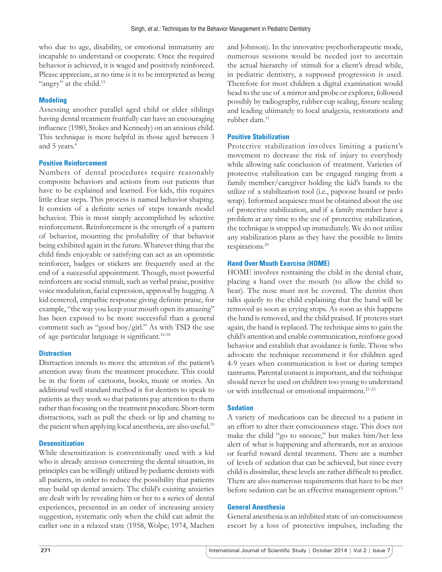who due to age, disability, or emotional immaturity are incapable to understand or cooperate. Once the required behavior is achieved, it is waged and positively reinforced. Please appreciate, at no time is it to be interpreted as being "angry" at the child.<sup>15</sup>

#### **Modeling**

Assessing another parallel aged child or elder siblings having dental treatment fruitfully can have an encouraging influence (1980, Stokes and Kennedy) on an anxious child. This technique is more helpful in those aged between 3 and 5 years.4

#### **Positive Reinforcement**

Numbers of dental procedures require reasonably composite behaviors and actions from our patients that have to be explained and learned. For kids, this requires little clear steps. This process is named behavior shaping. It consists of a definite series of steps towards model behavior. This is most simply accomplished by selective reinforcement. Reinforcement is the strength of a pattern of behavior, mounting the probability of that behavior being exhibited again in the future. Whatever thing that the child finds enjoyable or satisfying can act as an optimistic reinforcer, badges or stickers are frequently used at the end of a successful appointment. Though, most powerful reinforcers are social stimuli, such as verbal praise, positive voice modulation, facial expression, approval by hugging. A kid centered, empathic response giving definite praise, for example, "the way you keep your mouth open its amazing" has been exposed to be more successful than a general comment such as "good boy/girl." As with TSD the use of age particular language is significant.<sup>16-18</sup>

## **Distraction**

Distraction intends to move the attention of the patient's attention away from the treatment procedure. This could be in the form of cartoons, books, music or stories. An additional well standard method is for dentists to speak to patients as they work so that patients pay attention to them rather than focusing on the treatment procedure. Short-term distractions, such as pull the cheek or lip and chatting to the patient when applying local anesthesia, are also useful.<sup>19</sup>

## **Desensitization**

While desensitization is conventionally used with a kid who is already anxious concerning the dental situation, its principles can be willingly utilized by pediatric dentists with all patients, in order to reduce the possibility that patients may build up dental anxiety. The child's existing anxieties are dealt with by revealing him or her to a series of dental experiences, presented in an order of increasing anxiety suggestion, systematic only when the child can admit the earlier one in a relaxed state (1958, Wolpe; 1974, Machen and Johnson). In the innovative psychotherapeutic mode, numerous sessions would be needed just to ascertain the actual hierarchy of stimuli for a client's dread while, in pediatric dentistry, a supposed progression is used. Therefore for most children a digital examination would head to the use of a mirror and probe or explorer, followed possibly by radiography, rubber cup scaling, fissure sealing and leading ultimately to local analgesia, restorations and rubber dam.11

#### **Positive Stabilization**

Protective stabilization involves limiting a patient's movement to decrease the risk of injury to everybody while allowing safe conclusion of treatment. Varieties of protective stabilization can be engaged ranging from a family member/caregiver holding the kid's hands to the utilize of a stabilization tool (i.e., papoose board or pedo wrap). Informed acquiesce must be obtained about the use of protective stabilization, and if a family member have a problem at any time to the use of protective stabilization, the technique is stopped up immediately. We do not utilize any stabilization plans as they have the possible to limits respirations.20

#### **Hand Over Mouth Exercise (HOME)**

HOME involves restraining the child in the dental chair, placing a hand over the mouth (to allow the child to hear). The nose must not be covered. The dentist then talks quietly to the child explaining that the hand will be removed as soon as crying stops. As soon as this happens the hand is removed, and the child praised. If protests start again, the hand is replaced. The technique aims to gain the child's attention and enable communication, reinforce good behavior and establish that avoidance is futile. Those who advocate the technique recommend it for children aged 4-9 years when communication is lost or during temper tantrums. Parental consent is important, and the technique should never be used on children too young to understand or with intellectual or emotional impairment.21-23

#### **Sedation**

A variety of medications can be directed to a patient in an effort to alter their consciousness stage. This does not make the child "go to snooze," but makes him/her less alert of what is happening and afterwards, not as anxious or fearful toward dental treatment. There are a number of levels of sedation that can be achieved, but since every child is dissimilar, these levels are rather difficult to predict. There are also numerous requirements that have to be met before sedation can be an effective management option.<sup>15</sup>

#### **General Anesthesia**

General anesthesia is an inhibited state of un-consciousness escort by a loss of protective impulses, including the